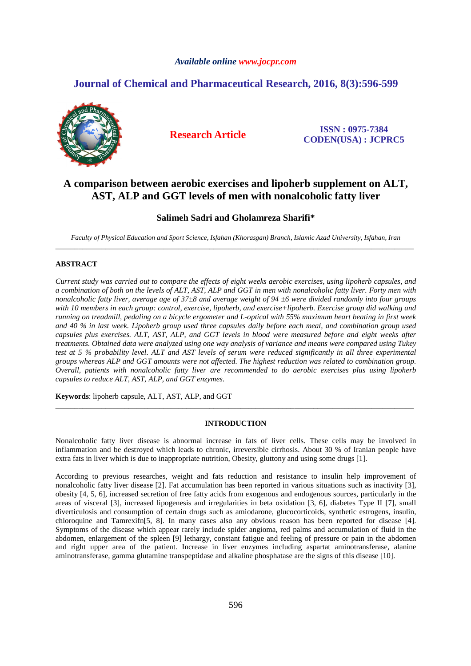## *Available online www.jocpr.com*

# **Journal of Chemical and Pharmaceutical Research, 2016, 8(3):596-599**



**Research Article ISSN : 0975-7384 CODEN(USA) : JCPRC5**

# **A comparison between aerobic exercises and lipoherb supplement on ALT, AST, ALP and GGT levels of men with nonalcoholic fatty liver**

## **Salimeh Sadri and Gholamreza Sharifi\***

*Faculty of Physical Education and Sport Science, Isfahan (Khorasgan) Branch, Islamic Azad University, Isfahan, Iran*  \_\_\_\_\_\_\_\_\_\_\_\_\_\_\_\_\_\_\_\_\_\_\_\_\_\_\_\_\_\_\_\_\_\_\_\_\_\_\_\_\_\_\_\_\_\_\_\_\_\_\_\_\_\_\_\_\_\_\_\_\_\_\_\_\_\_\_\_\_\_\_\_\_\_\_\_\_\_\_\_\_\_\_\_\_\_\_\_\_\_\_\_\_

### **ABSTRACT**

*Current study was carried out to compare the effects of eight weeks aerobic exercises, using lipoherb capsules, and a combination of both on the levels of ALT, AST, ALP and GGT in men with nonalcoholic fatty liver. Forty men with nonalcoholic fatty liver, average age of 37±8 and average weight of 94 ±6 were divided randomly into four groups with 10 members in each group: control, exercise, lipoherb, and exercise+lipoherb. Exercise group did walking and running on treadmill, pedaling on a bicycle ergometer and L-optical with 55% maximum heart beating in first week and 40 % in last week. Lipoherb group used three capsules daily before each meal, and combination group used capsules plus exercises. ALT, AST, ALP, and GGT levels in blood were measured before and eight weeks after treatments. Obtained data were analyzed using one way analysis of variance and means were compared using Tukey test at 5 % probability level. ALT and AST levels of serum were reduced significantly in all three experimental groups whereas ALP and GGT amounts were not affected. The highest reduction was related to combination group. Overall, patients with nonalcoholic fatty liver are recommended to do aerobic exercises plus using lipoherb capsules to reduce ALT, AST, ALP, and GGT enzymes.* 

**Keywords**: lipoherb capsule, ALT, AST, ALP, and GGT

#### **INTRODUCTION**

\_\_\_\_\_\_\_\_\_\_\_\_\_\_\_\_\_\_\_\_\_\_\_\_\_\_\_\_\_\_\_\_\_\_\_\_\_\_\_\_\_\_\_\_\_\_\_\_\_\_\_\_\_\_\_\_\_\_\_\_\_\_\_\_\_\_\_\_\_\_\_\_\_\_\_\_\_\_\_\_\_\_\_\_\_\_\_\_\_\_\_\_\_

Nonalcoholic fatty liver disease is abnormal increase in fats of liver cells. These cells may be involved in inflammation and be destroyed which leads to chronic, irreversible cirrhosis. About 30 % of Iranian people have extra fats in liver which is due to inappropriate nutrition, Obesity, gluttony and using some drugs [1].

According to previous researches, weight and fats reduction and resistance to insulin help improvement of nonalcoholic fatty liver disease [2]. Fat accumulation has been reported in various situations such as inactivity [3], obesity [4, 5, 6], increased secretion of free fatty acids from exogenous and endogenous sources, particularly in the areas of visceral [3], increased lipogenesis and irregularities in beta oxidation [3, 6], diabetes Type II [7], small diverticulosis and consumption of certain drugs such as amiodarone, glucocorticoids, synthetic estrogens, insulin, chloroquine and Tamrexifn[5, 8]. In many cases also any obvious reason has been reported for disease [4]. Symptoms of the disease which appear rarely include spider angioma, red palms and accumulation of fluid in the abdomen, enlargement of the spleen [9] lethargy, constant fatigue and feeling of pressure or pain in the abdomen and right upper area of the patient. Increase in liver enzymes including aspartat aminotransferase, alanine aminotransferase, gamma glutamine transpeptidase and alkaline phosphatase are the signs of this disease [10].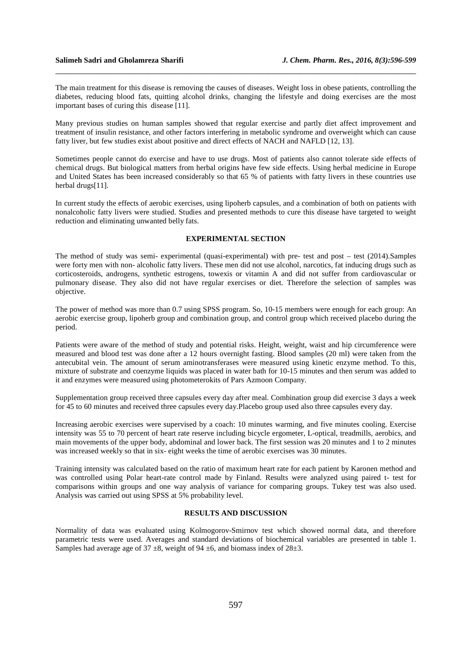The main treatment for this disease is removing the causes of diseases. Weight loss in obese patients, controlling the diabetes, reducing blood fats, quitting alcohol drinks, changing the lifestyle and doing exercises are the most important bases of curing this disease [11].

\_\_\_\_\_\_\_\_\_\_\_\_\_\_\_\_\_\_\_\_\_\_\_\_\_\_\_\_\_\_\_\_\_\_\_\_\_\_\_\_\_\_\_\_\_\_\_\_\_\_\_\_\_\_\_\_\_\_\_\_\_\_\_\_\_\_\_\_\_\_\_\_\_\_\_\_\_\_

Many previous studies on human samples showed that regular exercise and partly diet affect improvement and treatment of insulin resistance, and other factors interfering in metabolic syndrome and overweight which can cause fatty liver, but few studies exist about positive and direct effects of NACH and NAFLD [12, 13].

Sometimes people cannot do exercise and have to use drugs. Most of patients also cannot tolerate side effects of chemical drugs. But biological matters from herbal origins have few side effects. Using herbal medicine in Europe and United States has been increased considerably so that 65 % of patients with fatty livers in these countries use herbal drugs[11].

In current study the effects of aerobic exercises, using lipoherb capsules, and a combination of both on patients with nonalcoholic fatty livers were studied. Studies and presented methods to cure this disease have targeted to weight reduction and eliminating unwanted belly fats.

#### **EXPERIMENTAL SECTION**

The method of study was semi- experimental (quasi-experimental) with pre- test and post – test (2014).Samples were forty men with non- alcoholic fatty livers. These men did not use alcohol, narcotics, fat inducing drugs such as corticosteroids, androgens, synthetic estrogens, towexis or vitamin A and did not suffer from cardiovascular or pulmonary disease. They also did not have regular exercises or diet. Therefore the selection of samples was objective.

The power of method was more than 0.7 using SPSS program. So, 10-15 members were enough for each group: An aerobic exercise group, lipoherb group and combination group, and control group which received placebo during the period.

Patients were aware of the method of study and potential risks. Height, weight, waist and hip circumference were measured and blood test was done after a 12 hours overnight fasting. Blood samples (20 ml) were taken from the antecubital vein. The amount of serum aminotransferases were measured using kinetic enzyme method. To this, mixture of substrate and coenzyme liquids was placed in water bath for 10-15 minutes and then serum was added to it and enzymes were measured using photometerokits of Pars Azmoon Company.

Supplementation group received three capsules every day after meal. Combination group did exercise 3 days a week for 45 to 60 minutes and received three capsules every day.Placebo group used also three capsules every day.

Increasing aerobic exercises were supervised by a coach: 10 minutes warming, and five minutes cooling. Exercise intensity was 55 to 70 percent of heart rate reserve including bicycle ergometer, L-optical, treadmills, aerobics, and main movements of the upper body, abdominal and lower back. The first session was 20 minutes and 1 to 2 minutes was increased weekly so that in six- eight weeks the time of aerobic exercises was 30 minutes.

Training intensity was calculated based on the ratio of maximum heart rate for each patient by Karonen method and was controlled using Polar heart-rate control made by Finland. Results were analyzed using paired t- test for comparisons within groups and one way analysis of variance for comparing groups. Tukey test was also used. Analysis was carried out using SPSS at 5% probability level.

#### **RESULTS AND DISCUSSION**

Normality of data was evaluated using Kolmogorov-Smirnov test which showed normal data, and therefore parametric tests were used. Averages and standard deviations of biochemical variables are presented in table 1. Samples had average age of  $37 \pm 8$ , weight of 94  $\pm 6$ , and biomass index of  $28 \pm 3$ .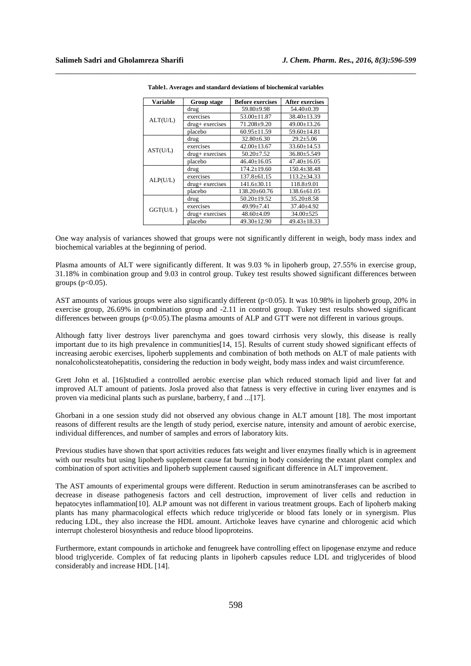| <b>Variable</b> | Group stage     | <b>Before exercises</b> | <b>After exercises</b> |
|-----------------|-----------------|-------------------------|------------------------|
| ALT(U/L)        | drug            | $59.80 + 9.98$          | $54.40 \pm 0.39$       |
|                 | exercises       | $53.00 \pm 11.87$       | 38.40±13.39            |
|                 | drug+ exercises | $71.208 \pm 9.20$       | 49.00±13.26            |
|                 | placebo         | $60.95 \pm 11.59$       | $59.60 \pm 14.81$      |
| AST(U/L)        | drug            | $32.80 \pm 6.30$        | $29.2 \pm 5.06$        |
|                 | exercises       | $42.00 \pm 13.67$       | $33.60 \pm 14.53$      |
|                 | drug+ exercises | $50.20 \pm 7.52$        | $36.80 \pm 5.549$      |
|                 | placebo         | $46.40 \pm 16.05$       | $47.40 \pm 16.05$      |
| ALP(U/L)        | drug            | $174.2 \pm 19.60$       | $150.4 \pm 38.48$      |
|                 | exercises       | $137.8 \pm 61.15$       | 113.2±34.33            |
|                 | drug+ exercises | $141.6 \pm 30.11$       | $118.8 + 9.01$         |
|                 | placebo         | 138.20±60.76            | $138.6 \pm 61.05$      |
| GGT(U/L)        | drug            | $50.20 \pm 19.52$       | $35.20 \pm 8.58$       |
|                 | exercises       | 49.99±7.41              | $37.40 \pm 4.92$       |
|                 | drug+ exercises | $48.60{\pm}4.09$        | $34.00 \pm 525$        |
|                 | placebo         | 49.30±12.90             | $49.43 \pm 18.33$      |

**Table1. Averages and standard deviations of biochemical variables** 

\_\_\_\_\_\_\_\_\_\_\_\_\_\_\_\_\_\_\_\_\_\_\_\_\_\_\_\_\_\_\_\_\_\_\_\_\_\_\_\_\_\_\_\_\_\_\_\_\_\_\_\_\_\_\_\_\_\_\_\_\_\_\_\_\_\_\_\_\_\_\_\_\_\_\_\_\_\_

One way analysis of variances showed that groups were not significantly different in weigh, body mass index and biochemical variables at the beginning of period.

Plasma amounts of ALT were significantly different. It was 9.03 % in lipoherb group, 27.55% in exercise group, 31.18% in combination group and 9.03 in control group. Tukey test results showed significant differences between groups ( $p<0.05$ ).

AST amounts of various groups were also significantly different (p<0.05). It was 10.98% in lipoherb group, 20% in exercise group, 26.69% in combination group and -2.11 in control group. Tukey test results showed significant differences between groups (p<0.05). The plasma amounts of ALP and GTT were not different in various groups.

Although fatty liver destroys liver parenchyma and goes toward cirrhosis very slowly, this disease is really important due to its high prevalence in communities<sup>[14]</sup>, 15]. Results of current study showed significant effects of increasing aerobic exercises, lipoherb supplements and combination of both methods on ALT of male patients with nonalcoholicsteatohepatitis, considering the reduction in body weight, body mass index and waist circumference.

Grett John et al. [16]studied a controlled aerobic exercise plan which reduced stomach lipid and liver fat and improved ALT amount of patients. Josla proved also that fatness is very effective in curing liver enzymes and is proven via medicinal plants such as purslane, barberry, f and ...[17].

Ghorbani in a one session study did not observed any obvious change in ALT amount [18]. The most important reasons of different results are the length of study period, exercise nature, intensity and amount of aerobic exercise, individual differences, and number of samples and errors of laboratory kits.

Previous studies have shown that sport activities reduces fats weight and liver enzymes finally which is in agreement with our results but using lipoherb supplement cause fat burning in body considering the extant plant complex and combination of sport activities and lipoherb supplement caused significant difference in ALT improvement.

The AST amounts of experimental groups were different. Reduction in serum aminotransferases can be ascribed to decrease in disease pathogenesis factors and cell destruction, improvement of liver cells and reduction in hepatocytes inflammation[10]. ALP amount was not different in various treatment groups. Each of lipoherb making plants has many pharmacological effects which reduce triglyceride or blood fats lonely or in synergism. Plus reducing LDL, they also increase the HDL amount. Artichoke leaves have cynarine and chlorogenic acid which interrupt cholesterol biosynthesis and reduce blood lipoproteins.

Furthermore, extant compounds in artichoke and fenugreek have controlling effect on lipogenase enzyme and reduce blood triglyceride. Complex of fat reducing plants in lipoherb capsules reduce LDL and triglycerides of blood considerably and increase HDL [14].